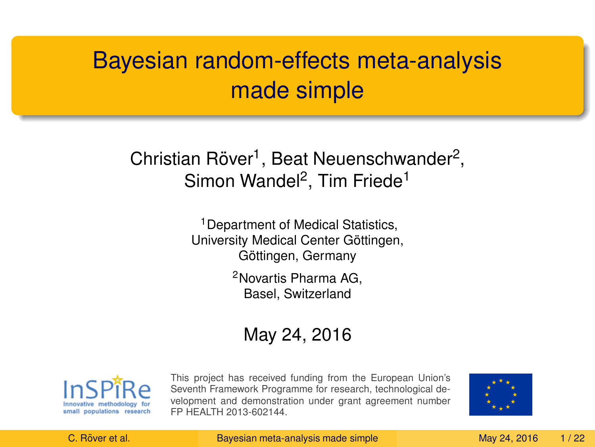# Bayesian random-effects meta-analysis made simple

## Christian Röver<sup>1</sup>, Beat Neuenschwander<sup>2</sup>, Simon Wandel<sup>2</sup>, Tim Friede<sup>1</sup>

<sup>1</sup> Department of Medical Statistics, University Medical Center Göttingen, Göttingen, Germany

> <sup>2</sup>Novartis Pharma AG, Basel, Switzerland

### May 24, 2016



This project has received funding from the European Union's Seventh Framework Programme for research, technological development and demonstration under grant agreement number FP HEALTH 2013-602144.

<span id="page-0-0"></span>

C. Röver et al. The [Bayesian meta-analysis made simple](#page-33-0) May 24, 2016 1/22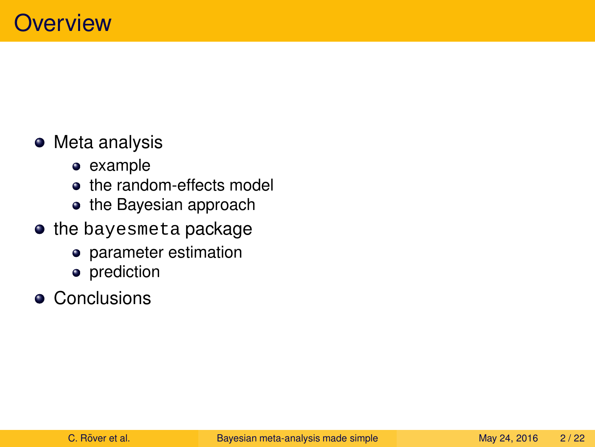## • Meta analysis

- example
- the random-effects model
- the Bayesian approach
- **the bayesmeta package** 
	- parameter estimation
	- prediction
- **•** Conclusions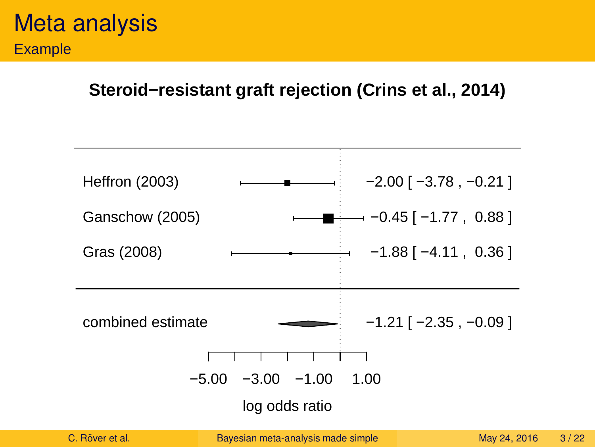#### **Steroid−resistant graft rejection (Crins et al., 2014)**



C. Röver et al. The [Bayesian meta-analysis made simple](#page-0-0) May 24, 2016 3/22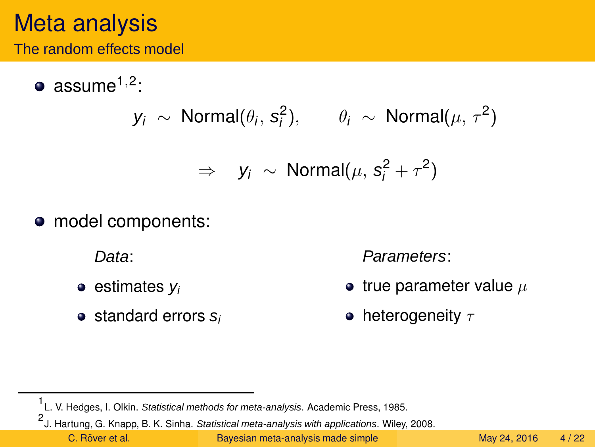## Meta analysis

The random effects model

assume1,<sup>2</sup> :

$$
y_i \sim \text{Normal}(\theta_i, s_i^2), \qquad \theta_i \sim \text{Normal}(\mu, \tau^2)
$$

$$
\Rightarrow y_i \sim \text{Normal}(\mu, s_i^2 + \tau^2)
$$

• model components:

Data:

- $\bullet$  estimates  $v_i$
- $\bullet$  standard errors  $s_i$

Parameters:

- true parameter value  $\mu$
- heterogeneity  $\tau$

C. Röver et al. The [Bayesian meta-analysis made simple](#page-0-0) May 24, 2016 4/22

<sup>1&</sup>lt;br>L. V. Hedges, I. Olkin. Statistical methods for meta-analysis. Academic Press, 1985.

<sup>2&</sup>lt;br><sup>2</sup> J. Hartung, G. Knapp, B. K. Sinha. Statistical meta-analysis with applications. Wiley, 2008.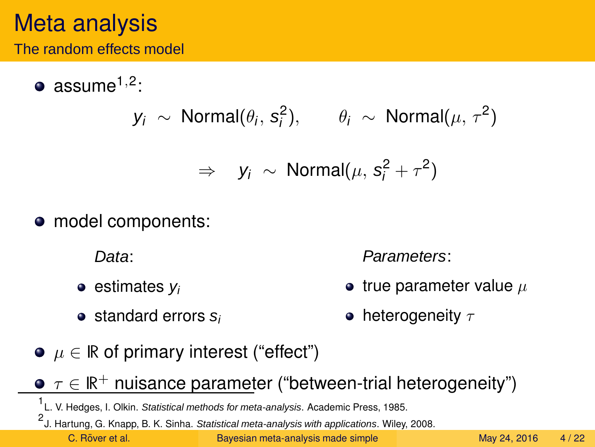## Meta analysis

The random effects model

assume1,<sup>2</sup> :

$$
y_i \sim \text{Normal}(\theta_i, s_i^2), \qquad \theta_i \sim \text{Normal}(\mu, \tau^2)
$$

$$
\Rightarrow y_i \sim \text{Normal}(\mu, s_i^2 + \tau^2)
$$

• model components:

 $\bullet$  estimates  $v_i$ 

 $\bullet$  standard errors  $s_i$ 

Data:

Parameters:

- true parameter value  $\mu$ 
	- heterogeneity  $\tau$
- $\bullet$   $\mu \in \mathbb{R}$  of primary interest ("effect")
- $\tau \in \mathbb{R}^+$  nuisance parameter ("between-trial heterogeneity")

C. Röver et al. The [Bayesian meta-analysis made simple](#page-0-0) May 24, 2016 4/22

<sup>1&</sup>lt;br>L. V. Hedges, I. Olkin. Statistical methods for meta-analysis. Academic Press, 1985.

<sup>2&</sup>lt;br><sup>2</sup> J. Hartung, G. Knapp, B. K. Sinha. Statistical meta-analysis with applications. Wiley, 2008.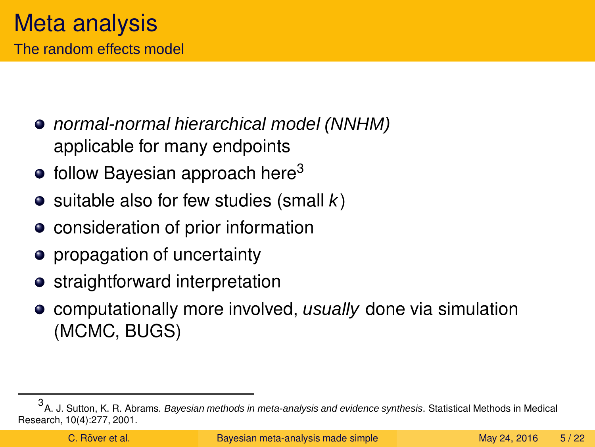- normal-normal hierarchical model (NNHM) applicable for many endpoints
- $\bullet$  follow Bayesian approach here<sup>3</sup>
- $\bullet$  suitable also for few studies (small k)
- consideration of prior information
- propagation of uncertainty
- straightforward interpretation
- computationally more involved, usually done via simulation (MCMC, BUGS)

<sup>3&</sup>lt;br><sup>3</sup>A. J. Sutton, K. R. Abrams. *Bayesian methods in meta-analysis and evidence synthesis*. Statistical Methods in Medical Research, 10(4):277, 2001.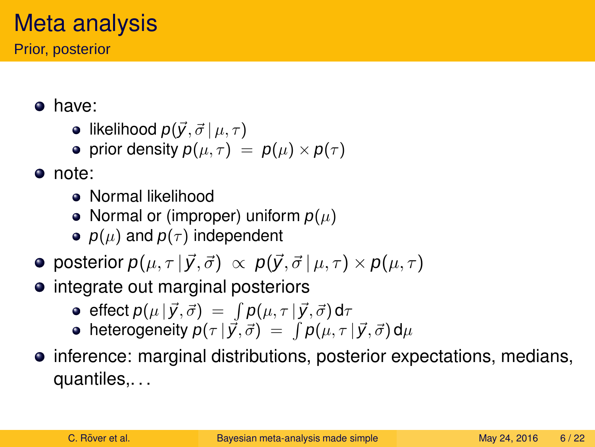# Meta analysis

Prior, posterior

- have:
	- likelihood  $p(\vec{y}, \vec{\sigma} | \mu, \tau)$
	- prior density  $p(\mu, \tau) = p(\mu) \times p(\tau)$
- note:
	- Normal likelihood
	- Normal or (improper) uniform  $p(\mu)$
	- $p(\mu)$  and  $p(\tau)$  independent
- **•** posterior  $p(\mu, \tau | \vec{y}, \vec{\sigma}) \propto p(\vec{y}, \vec{\sigma} | \mu, \tau) \times p(\mu, \tau)$
- integrate out marginal posteriors
	- effect  $p(\mu \,|\, \vec{y}, \vec{\sigma}) ~=~ \int p(\mu, \tau \,|\, \vec{y}, \vec{\sigma})\, \text{d}\tau$
	- heterogeneity  $\bm{\mathsf{p}}(\tau \, | \, \vec{\mathsf{y}}, \vec{\sigma}) \ = \ \int \bm{\mathsf{p}}(\mu, \tau \, | \, \vec{\mathsf{y}}, \vec{\sigma}) \, \mathsf{d} \mu$
- inference: marginal distributions, posterior expectations, medians, quantiles,. . .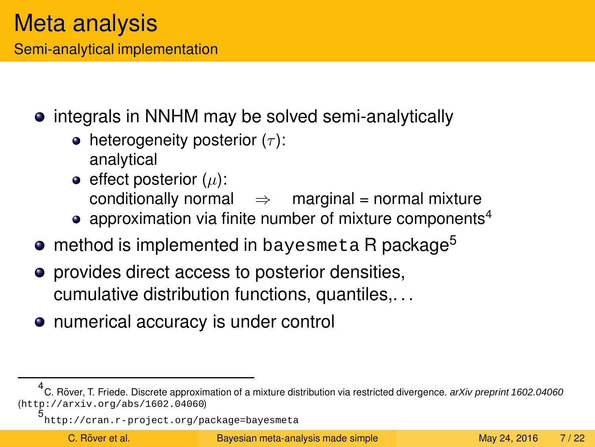Semi-analytical implementation

- integrals in NNHM may be solved semi-analytically
	- heterogeneity posterior  $(\tau)$ : analytical
	- $\bullet$  effect posterior ( $\mu$ ): conditionally normal  $\Rightarrow$  marginal = normal mixture
	- approximation via finite number of mixture components<sup>4</sup>
- **method is implemented in bayesmeta R package<sup>5</sup>**
- **•** provides direct access to posterior densities, cumulative distribution functions, quantiles,. . .
- numerical accuracy is under control

<sup>&</sup>lt;sup>4</sup> C. Röver, T. Friede. Discrete approximation of a mixture distribution via restricted divergence. arXiv preprint 1602.04060 (<http://arxiv.org/abs/1602.04060>)

<sup>5</sup> <http://cran.r-project.org/package=bayesmeta>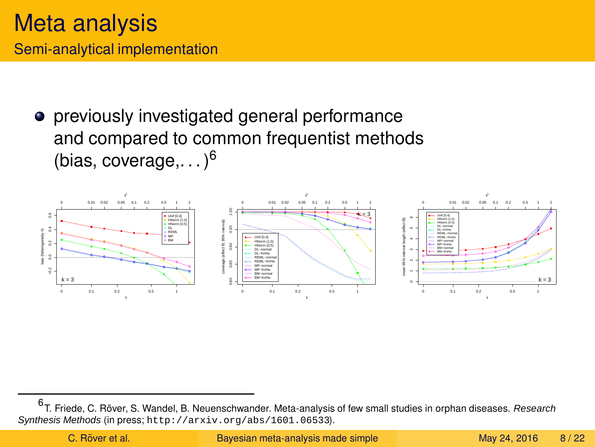previously investigated general performance and compared to common frequentist methods (bias, coverage,  $. . .$ )<sup>6</sup>



<sup>6</sup> T. Friede, C. Röver, S. Wandel, B. Neuenschwander. Meta-analysis of few small studies in orphan diseases. *Research* Synthesis Methods (in press; <http://arxiv.org/abs/1601.06533>).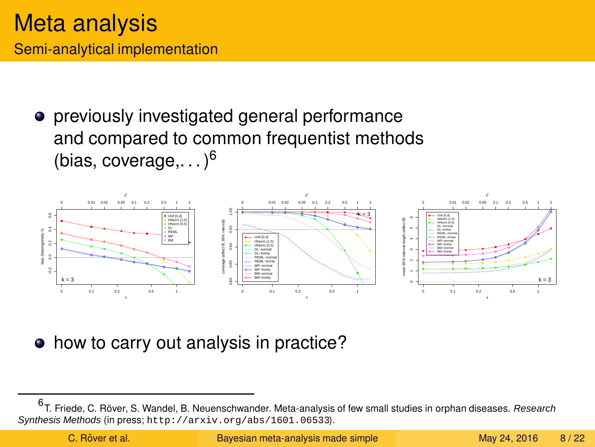**•** previously investigated general performance and compared to common frequentist methods (bias, coverage,  $. . .$ )<sup>6</sup>



how to carry out analysis in practice?  $\bullet$ 

<sup>6</sup> T. Friede, C. Röver, S. Wandel, B. Neuenschwander. Meta-analysis of few small studies in orphan diseases. *Research* Synthesis Methods (in press; <http://arxiv.org/abs/1601.06533>).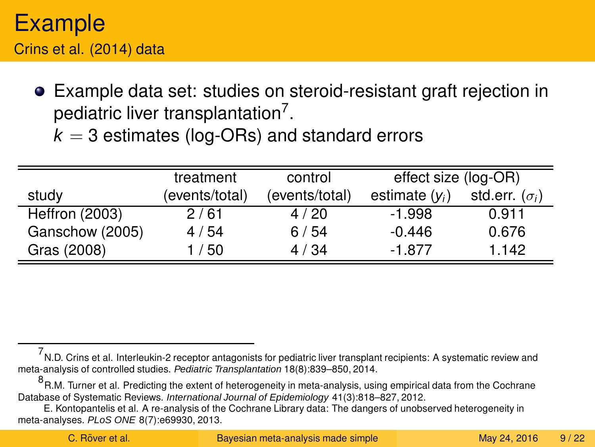## Example Crins et al. (2014) data

Example data set: studies on steroid-resistant graft rejection in pediatric liver transplantation<sup>7</sup>.

 $k = 3$  estimates (log-ORs) and standard errors

|                       | treatment      | control        | effect size (log-OR) |                       |
|-----------------------|----------------|----------------|----------------------|-----------------------|
| study                 | (events/total) | (events/total) | estimate $(v_i)$     | std.err. $(\sigma_i)$ |
| <b>Heffron (2003)</b> | 2/61           | 4/20           | $-1.998$             | 0.911                 |
| Ganschow (2005)       | 4 / 54         | 6/54           | $-0.446$             | 0.676                 |
| Gras (2008)           | /50            | 4/34           | $-1.877$             | 1.142                 |

<sup>7</sup> N.D. Crins et al. Interleukin-2 receptor antagonists for pediatric liver transplant recipients: A systematic review and meta-analysis of controlled studies. Pediatric Transplantation 18(8):839–850, 2014.

<sup>8&</sup>lt;br><sup>8</sup> R.M. Turner et al. Predicting the extent of heterogeneity in meta-analysis, using empirical data from the Cochrane Database of Systematic Reviews. International Journal of Epidemiology 41(3):818–827, 2012.

E. Kontopantelis et al. A re-analysis of the Cochrane Library data: The dangers of unobserved heterogeneity in meta-analyses. PLoS ONE 8(7):e69930, 2013.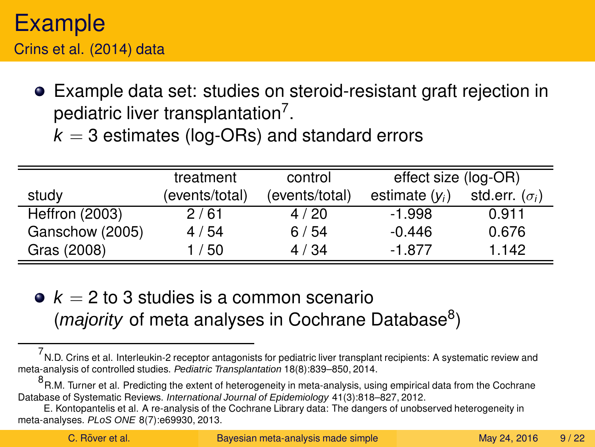## Example Crins et al. (2014) data

Example data set: studies on steroid-resistant graft rejection in pediatric liver transplantation<sup>7</sup>.

 $k = 3$  estimates (log-ORs) and standard errors

|                       | treatment      | control        | effect size (log-OR) |                       |
|-----------------------|----------------|----------------|----------------------|-----------------------|
| study                 | (events/total) | (events/total) | estimate $(y_i)$     | std.err. $(\sigma_i)$ |
| <b>Heffron (2003)</b> | 2/61           | 4/20           | -1.998               | 0.911                 |
| Ganschow (2005)       | 4 / 54         | 6/54           | $-0.446$             | 0.676                 |
| Gras (2008)           | 1 / 50         | 4/34           | $-1.877$             | 1.142                 |

•  $k = 2$  to 3 studies is a common scenario (*majority* of meta analyses in Cochrane Database<sup>8</sup>)

<sup>7</sup> N.D. Crins et al. Interleukin-2 receptor antagonists for pediatric liver transplant recipients: A systematic review and meta-analysis of controlled studies. Pediatric Transplantation 18(8):839–850, 2014.

<sup>8&</sup>lt;br><sup>8</sup> R.M. Turner et al. Predicting the extent of heterogeneity in meta-analysis, using empirical data from the Cochrane Database of Systematic Reviews. International Journal of Epidemiology 41(3):818–827, 2012.

E. Kontopantelis et al. A re-analysis of the Cochrane Library data: The dangers of unobserved heterogeneity in meta-analyses. PLoS ONE 8(7):e69930, 2013.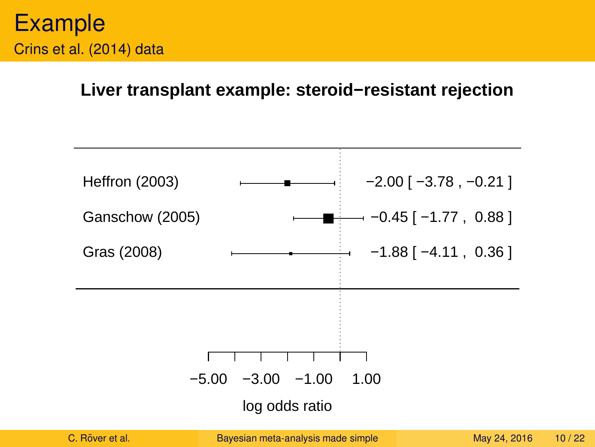#### **Liver transplant example: steroid−resistant rejection**

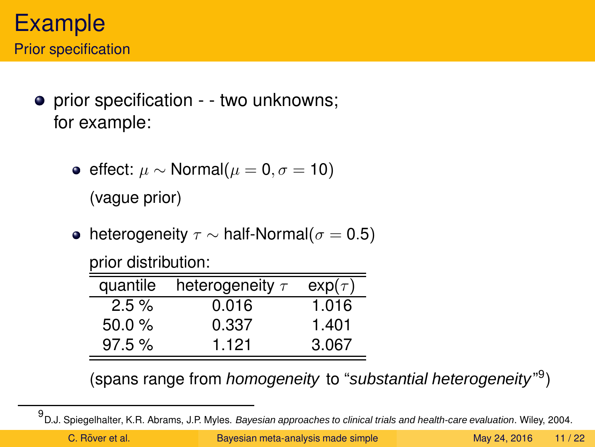- prior specification - two unknowns; for example:
	- effect:  $\mu$  ∼ Normal( $\mu$  = 0,  $\sigma$  = 10) (vague prior)
	- heterogeneity  $\tau \sim$  half-Normal( $\sigma = 0.5$ )

| prior distribution: |  |
|---------------------|--|
|                     |  |

| quantile | heterogeneity $\tau$ | $exp(\tau)$ |
|----------|----------------------|-------------|
| $2.5\%$  | 0.016                | 1.016       |
| 50.0%    | 0.337                | 1.401       |
| 97.5%    | 1.121                | 3.067       |

(spans range from homogeneity to "substantial heterogeneity"<sup>9</sup>)

<sup>9&</sup>lt;br><sup>9</sup> D.J. Spiegelhalter, K.R. Abrams, J.P. Myles. *Bayesian approaches to clinical trials and health-care evaluation.* Wiley, 2004.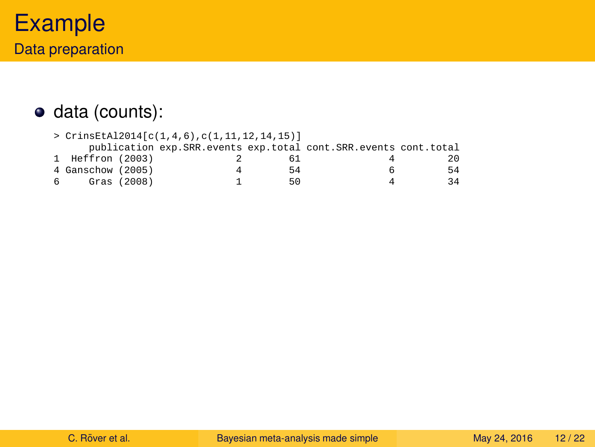### data (counts):

|    | > CrinsEtAl2014[c(1,4,6),c(1,11,12,14,15)] |             |  |    |                                                                 |              |
|----|--------------------------------------------|-------------|--|----|-----------------------------------------------------------------|--------------|
|    |                                            |             |  |    | publication exp.SRR.events exp.total cont.SRR.events cont.total |              |
|    | 1 Heffron (2003)                           |             |  |    |                                                                 | $20^{\circ}$ |
|    | 4 Ganschow (2005)                          |             |  | 54 | b                                                               | 54           |
| б. |                                            | Gras (2008) |  | 50 |                                                                 | 34           |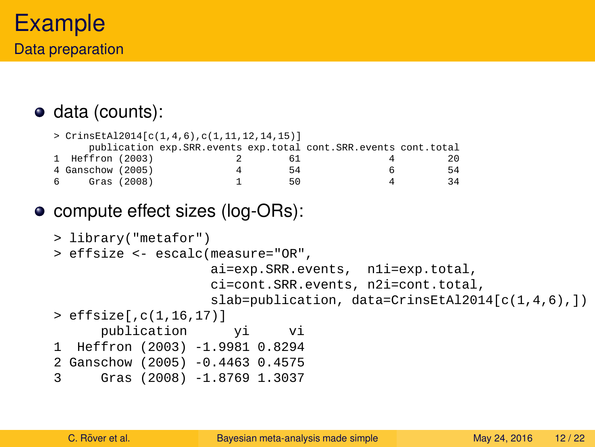## data (counts):

```
> CrinsEtAl2014[c(1,4,6),c(1,11,12,14,15)]
    publication exp.SRR.events exp.total cont.SRR.events cont.total
1 Heffron (2003) 2 61 4 20<br>4 Ganschow (2005) 4 54 6 54
4 Ganschow (2005) 4 54 6 54
6 Gras (2008)
```
### • compute effect sizes (log-ORs):

```
> library("metafor")
> effsize <- escalc(measure="OR",
                   ai=exp.SRR.events, n1i=exp.total,
                   ci=cont.SRR.events, n2i=cont.total,
                   slab=publication, data=CrinsEtAl2014[c(1,4,6),])
> effsize[,c(1,16,17)]
     publication yi vi
1 Heffron (2003) -1.9981 0.8294
2 Ganschow (2005) -0.4463 0.4575
3 Gras (2008) -1.8769 1.3037
```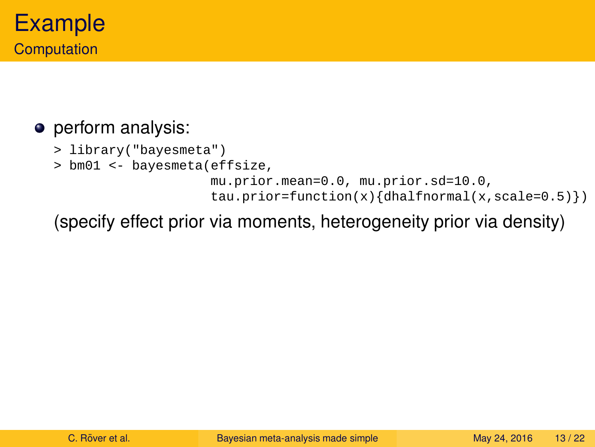### **·** perform analysis:

- > library("bayesmeta")
- > bm01 <- bayesmeta(effsize,

```
mu.prior.mean=0.0, mu.prior.sd=10.0,
tau = function(x){dhalfnormal(x, scale=0.5)})
```
(specify effect prior via moments, heterogeneity prior via density)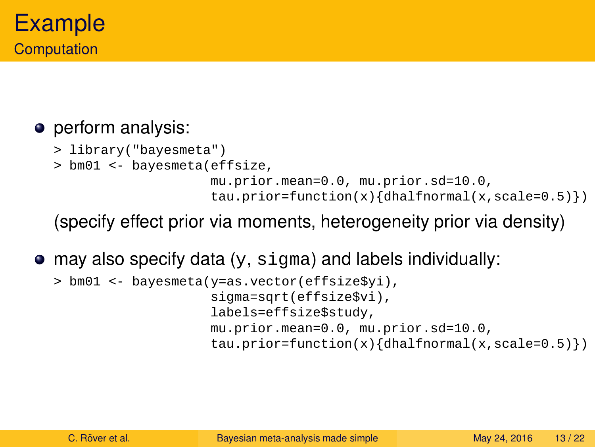### • perform analysis:

- > library("bayesmeta")
- > bm01 <- bayesmeta(effsize,

```
mu.prior.mean=0.0, mu.prior.sd=10.0,
tau.prior=function(x){dhalfnormal(x,scale=0.5)})
```
(specify effect prior via moments, heterogeneity prior via density)

 $\bullet$  may also specify data (y, sigma) and labels individually:

```
> bm01 <- bayesmeta(y=as.vector(effsize$yi),
                    sigma=sqrt(effsize$vi),
                    labels=effsize$study,
                    mu.prior.mean=0.0, mu.prior.sd=10.0,
                    tau.prior=function(x){dhalfnormal(x,scale=0.5)})
```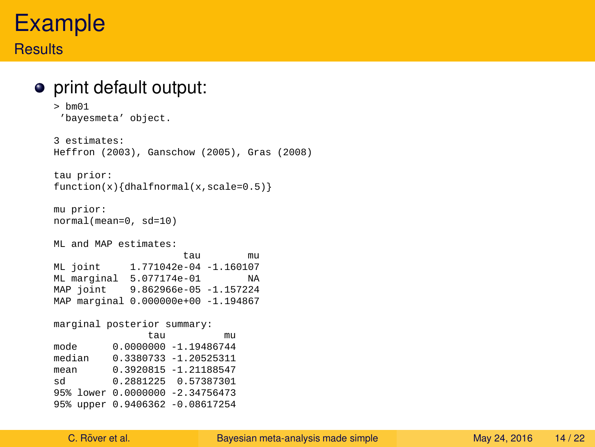#### **Results**

#### print default output:

```
> bm01
 'bayesmeta' object.
3 estimates:
Heffron (2003), Ganschow (2005), Gras (2008)
tau prior:
function(x){dhalfnormal(x,scale=0.5)}
mu prior:
normal(mean=0, sd=10)
ML and MAP estimates:
tau mu
ML joint 1.771042e-04 -1.160107
ML marginal 5.077174e-01 NA
MAP joint 9.862966e-05 -1.157224
MAP marginal 0.000000e+00 -1.194867
marginal posterior summary:
               tau mu
mode 0.0000000 -1.19486744
median 0.3380733 -1.20525311
mean 0.3920815 -1.21188547
sd 0.2881225 0.57387301
95% lower 0.0000000 -2.34756473
95% upper 0.9406362 -0.08617254
```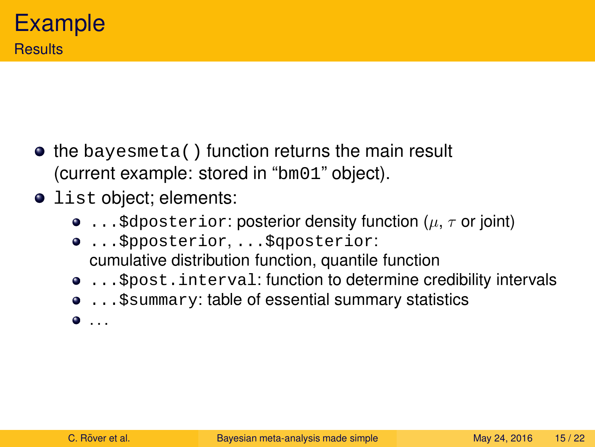- $\bullet$  the bayesmeta() function returns the main result (current example: stored in "bm01" object).
- **O** list object; elements:
	- **...** \$dposterior: posterior density function ( $\mu$ ,  $\tau$  or joint)
	- ...\$pposterior, ...\$qposterior: cumulative distribution function, quantile function
	- **...** \$post.interval: function to determine credibility intervals
	- ... \$ summary: table of essential summary statistics
	- $\bullet$  ...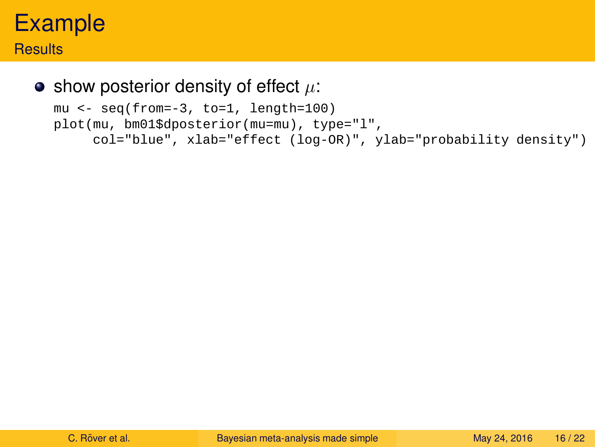#### **Results**

#### $\bullet$  show posterior density of effect  $\mu$ :

```
mu <- seq(from=-3, to=1, length=100)
plot(mu, bm01$dposterior(mu=mu), type="l",
     col="blue", xlab="effect (log-OR)", ylab="probability density")
```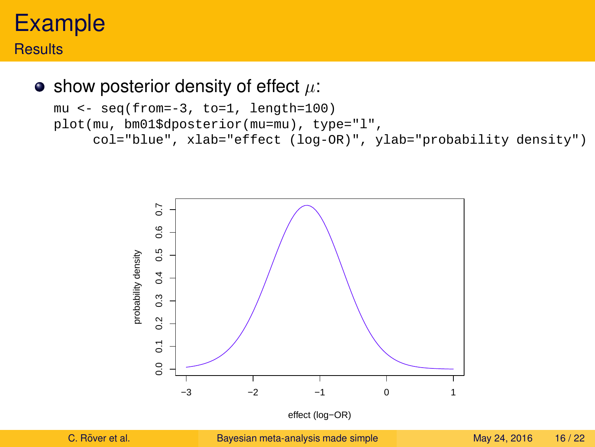#### **Results**

 $\bullet$  show posterior density of effect  $\mu$ :

```
mu <- seq(from=-3, to=1, length=100)
plot(mu, bm01$dposterior(mu=mu), type="l",
     col="blue", xlab="effect (log-OR)", ylab="probability density")
```
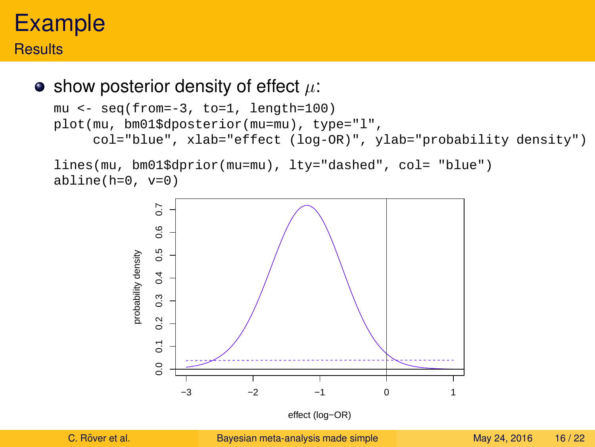#### **Results**

 $\bullet$  show posterior density of effect  $\mu$ :

```
mu <- seq(from=-3, to=1, length=100)
plot(mu, bm01$dposterior(mu=mu), type="l",
     col="blue", xlab="effect (log-OR)", ylab="probability density")
```

```
lines(mu, bm01$dprior(mu=mu), lty="dashed", col= "blue")
abline(h=0, v=0)
```


effect (log−OR)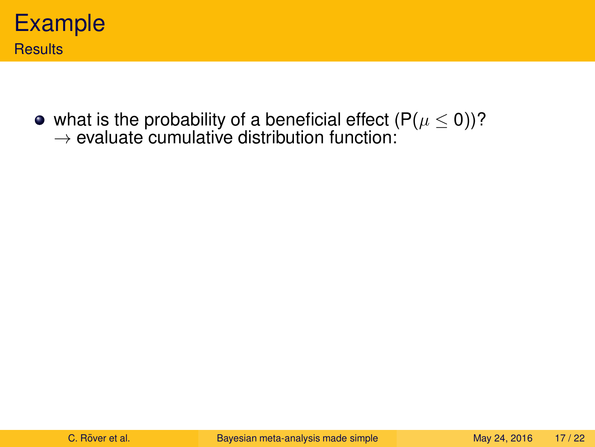

what is the probability of a beneficial effect (P $(\mu\leq 0)$ )?  $\rightarrow$  evaluate cumulative distribution function: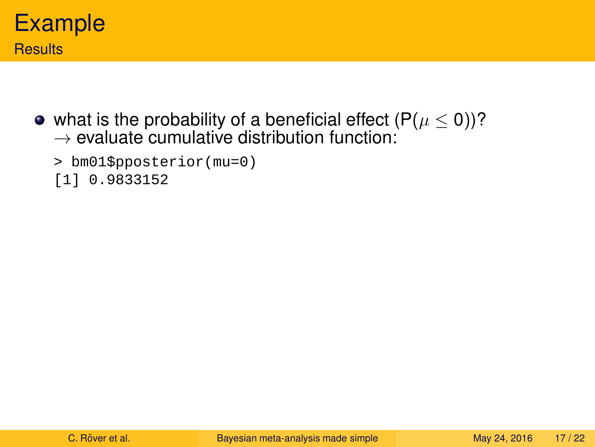

• what is the probability of a beneficial effect  $(P(\mu \le 0))^2$  $\rightarrow$  evaluate cumulative distribution function:

```
> bm01$pposterior(mu=0)
```
[1] 0.9833152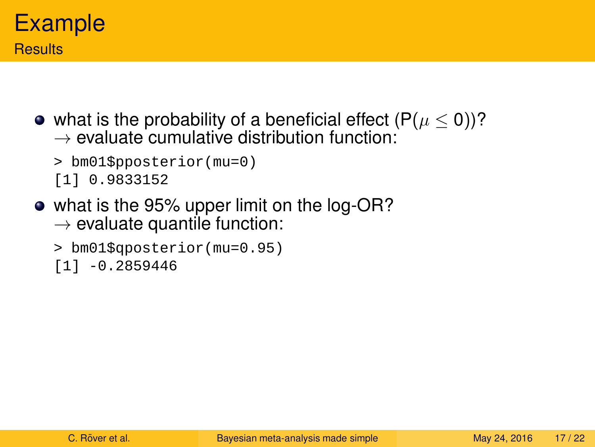

• what is the probability of a beneficial effect  $(P(\mu \le 0))^2$  $\rightarrow$  evaluate cumulative distribution function:

```
> bm01$pposterior(mu=0)
[1] 0.9833152
```
• what is the 95% upper limit on the log-OR?  $\rightarrow$  evaluate quantile function:

```
> bm01$qposterior(mu=0.95)
[1] -0.2859446
```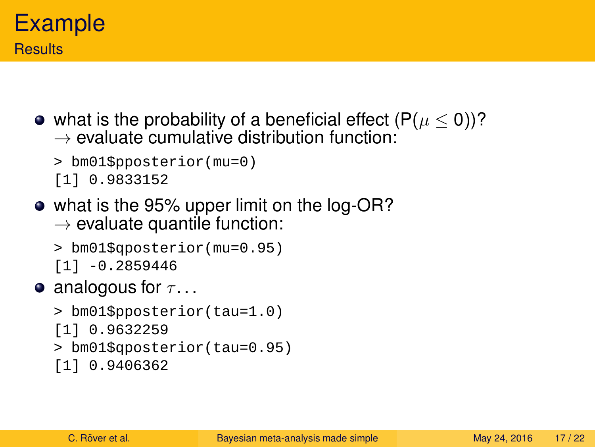

• what is the probability of a beneficial effect  $(P(\mu \le 0))^2$  $\rightarrow$  evaluate cumulative distribution function:

```
> bm01$pposterior(mu=0)
[1] 0.9833152
```
• what is the 95% upper limit on the log-OR?  $\rightarrow$  evaluate quantile function:

```
> bm01$qposterior(mu=0.95)
[1] -0.2859446
```
**•** analogous for  $\tau$ ...

```
> bm01$pposterior(tau=1.0)
[1] 0.9632259
> bm01$qposterior(tau=0.95)
[1] 0.9406362
```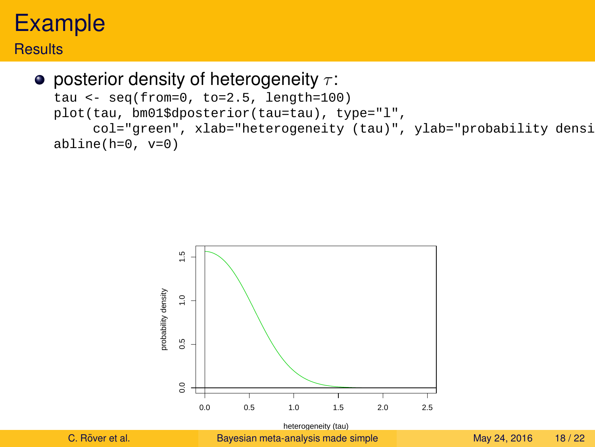#### **Results**

#### **•** posterior density of heterogeneity  $\tau$ :

```
tau <- seq(from=0, to=2.5, length=100)
plot(tau, bm01$dposterior(tau=tau), type="l",
     col="green", xlab="heterogeneity (tau)", ylab="probability densi
abline(h=0, v=0)
```


heterogeneity (tau) C. Röver et al. **Example 24, 2016** [Bayesian meta-analysis made simple](#page-0-0) May 24, 2016 18/22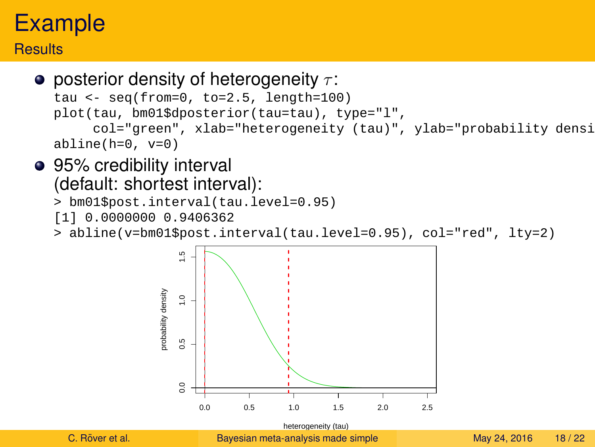#### **Results**

```
• posterior density of heterogeneity \tau:
  tau <- seq(from=0, to=2.5, length=100)
  plot(tau, bm01$dposterior(tau=tau), type="l",
       col="green", xlab="heterogeneity (tau)", ylab="probability densi
  abline(h=0, v=0)
```
#### • 95% credibility interval (default: shortest interval):

```
> bm01$post.interval(tau.level=0.95)
```
[1] 0.0000000 0.9406362

> abline(v=bm01\$post.interval(tau.level=0.95), col="red", lty=2)



heterogeneity (tau) C. Röver et al. The [Bayesian meta-analysis made simple](#page-0-0) May 24, 2016 18/22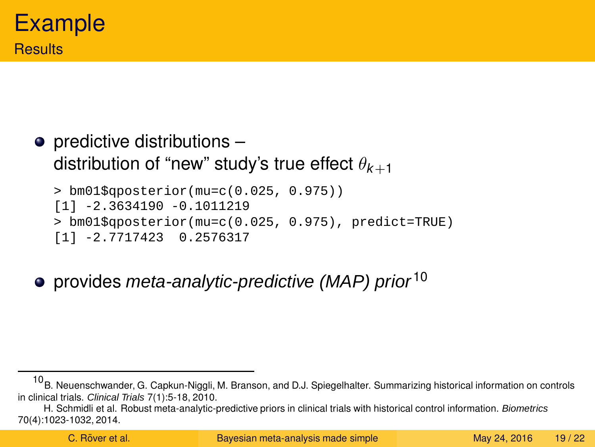## $\bullet$  predictive distributions  $$ distribution of "new" study's true effect  $\theta_{k+1}$

> bm01\$qposterior(mu=c(0.025, 0.975)) [1] -2.3634190 -0.1011219 > bm01\$qposterior(mu=c(0.025, 0.975), predict=TRUE) [1] -2.7717423 0.2576317

• provides meta-analytic-predictive (MAP) prior  $10$ 

 $10$ B. Neuenschwander, G. Capkun-Niggli, M. Branson, and D.J. Spiegelhalter. Summarizing historical information on controls in clinical trials. Clinical Trials 7(1):5-18, 2010.

H. Schmidli et al. Robust meta-analytic-predictive priors in clinical trials with historical control information. Biometrics 70(4):1023-1032, 2014.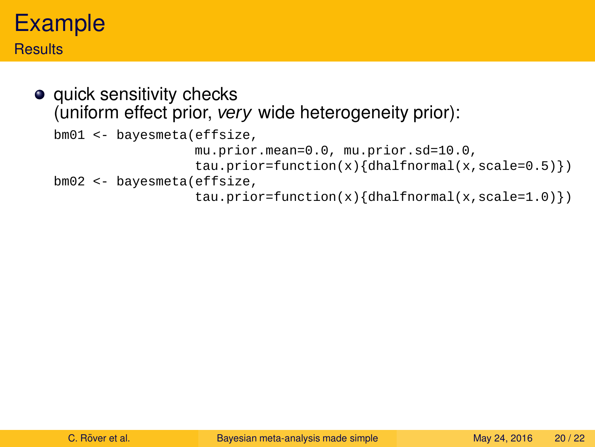#### **Results**

• quick sensitivity checks (uniform effect prior, very wide heterogeneity prior):

```
bm01 <- bayesmeta(effsize,
                 mu.prior.mean=0.0, mu.prior.sd=10.0,
                 tau = function(x){dhalfnormal(x, scale=0.5)})
bm02 <- bayesmeta(effsize,
                 tau = function(x){dhalfnormal(x, scale=1.0)})
```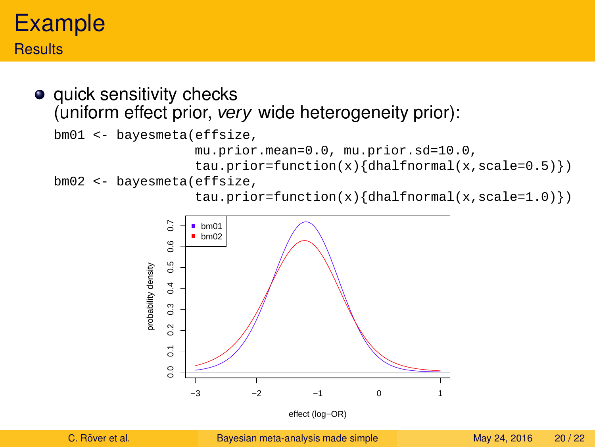#### **Results**

• quick sensitivity checks (uniform effect prior, very wide heterogeneity prior):

```
bm01 <- bayesmeta(effsize,
```

```
mu.prior.mean=0.0, mu.prior.sd=10.0,
```

```
tau = function(x){dhalfnormal(x, scale=0.5)})
```

```
bm02 <- bayesmeta(effsize,
```
tau.prior=function(x){dhalfnormal(x,scale=1.0)})



effect (log−OR)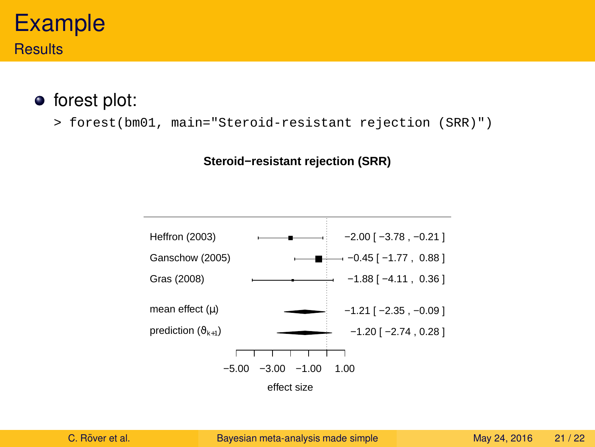## Example **Results**

#### • forest plot:

> forest(bm01, main="Steroid-resistant rejection (SRR)")

#### **Steroid−resistant rejection (SRR)**